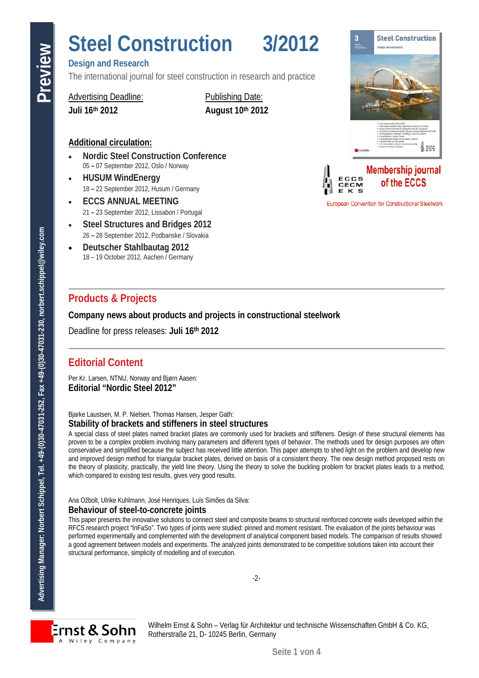# **Design and Research**

The international journal for steel construction in research and practice

### Advertising Deadline: Publishing Date:

**Juli 16th 2012 August 10th 2012**

# **Additional circulation:**

- **Nordic Steel Construction Conference** 05 **–** 07 September 2012, Oslo / Norway
- **HUSUM WindEnergy**  18 **–** 22 September 2012, Husum / Germany
- **ECCS ANNUAL MEETING** 21 **–** 23 September 2012, Lissabon / Portugal
- **Steel Structures and Bridges 2012** 26 **–** 28 September 2012, Podbanske / Slovakia
- **Deutscher Stahlbautag 2012** 18 – 19 October 2012, Aachen / Germany

# **Products & Projects**

**Company news about products and projects in constructional steelwork** 

Deadline for press releases: **Juli 16th 2012**

# **Editorial Content**

Per Kr. Larsen, NTNU, Norway and Bjørn Aasen: **Editorial "Nordic Steel 2012"**

#### Bjarke Laustsen, M. P. Nielsen, Thomas Hansen, Jesper Gath: **Stability of brackets and stiffeners in steel structures**

**Advertision Manager: Northern Schippel, The Internal managerities Construction Conference and Prediction Conference and Bullishing Data: Advertising Predict Schippel, The Internal managers: Norbert Schippel, The Constru** A special class of steel plates named bracket plates are commonly used for brackets and stiffeners. Design of these structural elements has proven to be a complex problem involving many parameters and different types of behavior. The methods used for design purposes are often conservative and simplified because the subject has received little attention. This paper attempts to shed light on the problem and develop new and improved design method for triangular bracket plates, derived on basis of a consistent theory. The new design method proposed rests on the theory of plasticity, practically, the yield line theory. Using the theory to solve the buckling problem for bracket plates leads to a method, which compared to existing test results, gives very good results.

Ana Ožbolt, Ulrike Kuhlmann, José Henriques, Luís Simões da Silva: **Behaviour of steel-to-concrete joints**

This paper presents the innovative solutions to connect steel and composite beams to structural reinforced concrete walls developed within the The paper project "InFaSo". Two types of joints were studied: pinned and moment resistant. The evaluation of the joints behaviour was performed experimentally and complemented with the development of analytical component based models. The comparison of results showed a good agreement between models and experiments. The analyzed joints demonstrated to be competitive solutions taken into account their structural performance, simplicity of modelling and of execution.

-2-



Wilhelm Ernst & Sohn – Verlag für Architektur und technische Wissenschaften GmbH & Co. KG, Rotherstraße 21, D- 10245 Berlin, Germany



**European Convention for Constructional Steelwork**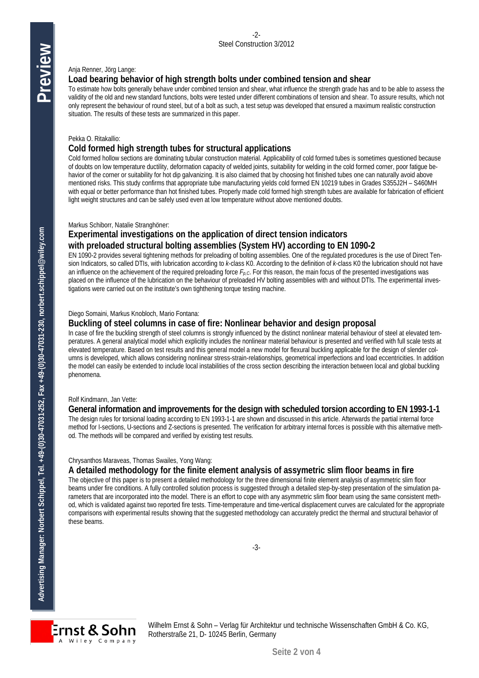#### Anja Renner, Jörg Lange:

#### **Load bearing behavior of high strength bolts under combined tension and shear**

To estimate how bolts generally behave under combined tension and shear, what influence the strength grade has and to be able to assess the validity of the old and new standard functions, bolts were tested under different combinations of tension and shear. To assure results, which not only represent the behaviour of round steel, but of a bolt as such, a test setup was developed that ensured a maximum realistic construction situation. The results of these tests are summarized in this paper.

#### Pekka O. Ritakallio:

#### **Cold formed high strength tubes for structural applications**

Cold formed hollow sections are dominating tubular construction material. Applicability of cold formed tubes is sometimes questioned because of doubts on low temperature ductility, deformation capacity of welded joints, suitability for welding in the cold formed corner, poor fatigue behavior of the corner or suitability for hot dip galvanizing. It is also claimed that by choosing hot finished tubes one can naturally avoid above mentioned risks. This study confirms that appropriate tube manufacturing yields cold formed EN 10219 tubes in Grades S355J2H – S460MH with equal or better performance than hot finished tubes. Properly made cold formed high strength tubes are available for fabrication of efficient light weight structures and can be safely used even at low temperature without above mentioned doubts.

#### Markus Schiborr, Natalie Stranghöner:

## **Experimental investigations on the application of direct tension indicators with preloaded structural bolting assemblies (System HV) according to EN 1090-2**

EN 1090-2 provides several tightening methods for preloading of bolting assemblies. One of the regulated procedures is the use of Direct Tension Indicators, so called DTIs, with lubrication according to *k*-class K0. According to the definition of *k*-class K0 the lubrication should not have an influence on the achievement of the required preloading force *Fp,C*. For this reason, the main focus of the presented investigations was placed on the influence of the lubrication on the behaviour of preloaded HV bolting assemblies with and without DTIs. The experimental investigations were carried out on the institute's own tighthening torque testing machine.

#### Diego Somaini, Markus Knobloch, Mario Fontana:

#### **Buckling of steel columns in case of fire: Nonlinear behavior and design proposal**

In case of fire the buckling strength of steel columns is strongly influenced by the distinct nonlinear material behaviour of steel at elevated temperatures. A general analytical model which explicitly includes the nonlinear material behaviour is presented and verified with full scale tests at elevated temperature. Based on test results and this general model a new model for flexural buckling applicable for the design of slender columns is developed, which allows considering nonlinear stress-strain-relationships, geometrical imperfections and load eccentricities. In addition the model can easily be extended to include local instabilities of the cross section describing the interaction between local and global buckling phenomena.

#### Rolf Kindmann, Jan Vette:

#### **General information and improvements for the design with scheduled torsion according to EN 1993-1-1**

The design rules for torsional loading according to EN 1993-1-1 are shown and discussed in this article. Afterwards the partial internal force method for I-sections, U-sections and Z-sections is presented. The verification for arbitrary internal forces is possible with this alternative method. The methods will be compared and verified by existing test results.

#### Chrysanthos Maraveas, Thomas Swailes, Yong Wang:

#### **A detailed methodology for the finite element analysis of assymetric slim floor beams in fire**

The objective of this paper is to present a detailed methodology for the three dimensional finite element analysis of asymmetric slim floor beams under fire conditions. A fully controlled solution process is suggested through a detailed step-by-step presentation of the simulation parameters that are incorporated into the model. There is an effort to cope with any asymmetric slim floor beam using the same consistent method, which is validated against two reported fire tests. Time-temperature and time-vertical displacement curves are calculated for the appropriate comparisons with experimental results showing that the suggested methodology can accurately predict the thermal and structural behavior of these beams.



Wilhelm Ernst & Sohn – Verlag für Architektur und technische Wissenschaften GmbH & Co. KG, Rotherstraße 21, D- 10245 Berlin, Germany

**Preview**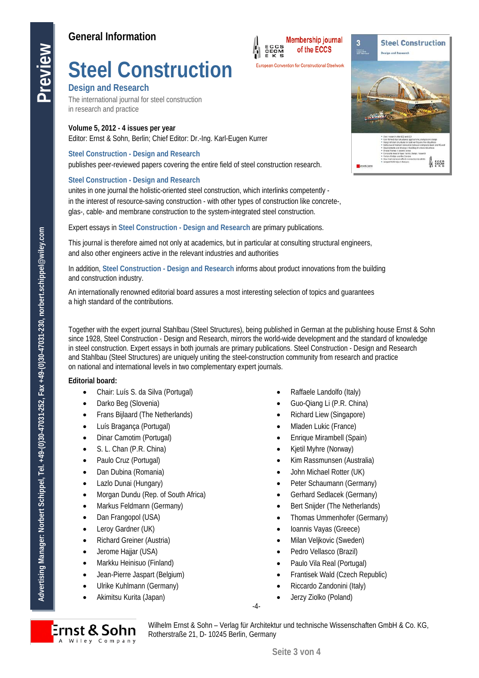# **Steel Construction**

### **Design and Research**

The international journal for steel construction in research and practice

#### **Volume 5, 2012 - 4 issues per year**

Editor: Ernst & Sohn, Berlin; Chief Editor: [Dr.-Ing. Karl-Eugen Kurrer](mailto:Karl-Eugen.Kurrer@wiley.com)

#### **Steel Construction - Design and Research**

publishes peer-reviewed papers covering the entire field of steel construction research.

#### **Steel Construction - Design and Research**

unites in one journal the holistic-oriented steel construction, which interlinks competently in the interest of resource-saving construction - with other types of construction like concrete-, glas-, cable- and membrane construction to the system-integrated steel construction.

Expert essays in **Steel Construction - Design and Research** are primary publications.

This journal is therefore aimed not only at academics, but in particular at consulting structural engineers, and also other engineers active in the relevant industries and authorities

In addition, **Steel Construction - Design and Research** informs about product innovations from the building and construction industry.

An internationally renowned editorial board assures a most interesting selection of topics and guarantees a high standard of the contributions.

**Advertision Schippel, The Control Control Control Control Control Control Control Control Control Control Control Control Control Control Control Control Control Control Control Control Control Control Control Control Con** Together with the expert journal Stahlbau (Steel Structures), being published in German at the publishing house Ernst & Sohn since 1928, Steel Construction - Design and Research, mirrors the world-wide development and the standard of knowledge in steel construction. Expert essays in both journals are primary publications. Steel Construction - Design and Research and Stahlbau (Steel Structures) are uniquely uniting the steel-construction community from research and practice on national and international levels in two complementary expert journals.

#### **Editorial board:**

- Chair: Luís S. da Silva (Portugal)
- Darko Beg (Slovenia)
- Frans Bijlaard (The Netherlands)
- Luís Bragança (Portugal)
- Dinar Camotim (Portugal)
- S. L. Chan (P.R. China)
- Paulo Cruz (Portugal)
- Dan Dubina (Romania)
- Lazlo Dunai (Hungary)
- Morgan Dundu (Rep. of South Africa)
- Markus Feldmann (Germany)
- Dan Frangopol (USA)
- Leroy Gardner (UK)
- Richard Greiner (Austria)
- Jerome Haijar (USA)
- Markku Heinisuo (Finland)
- Jean-Pierre Jaspart (Belgium)
- Ulrike Kuhlmann (Germany)
- Akimitsu Kurita (Japan)

• Raffaele Landolfo (Italy)

**Membership journal** 

**ECCS<br>CECM<br>E K S** 

- Guo-Qiang Li (P.R. China)
- Richard Liew (Singapore)
- Mladen Lukic (France)
- Enrique Mirambell (Spain)
- Kjetil Myhre (Norway)
- Kim Rassmunsen (Australia)
- John Michael Rotter (UK)
- Peter Schaumann (Germany)
- Gerhard Sedlacek (Germany)
- Bert Snijder (The Netherlands)
- Thomas Ummenhofer (Germany)
- Ioannis Vayas (Greece)
- Milan Veljkovic (Sweden)
- Pedro Vellasco (Brazil)
- Paulo Vila Real (Portugal)
- Frantisek Wald (Czech Republic)
- Riccardo Zandonini (Italy)
- Jerzy Ziolko (Poland)
- -4-



Wilhelm Ernst & Sohn – Verlag für Architektur und technische Wissenschaften GmbH & Co. KG, Rotherstraße 21, D- 10245 Berlin, Germany



**Steel Construction** 

 $\overline{\mathbf{3}}$